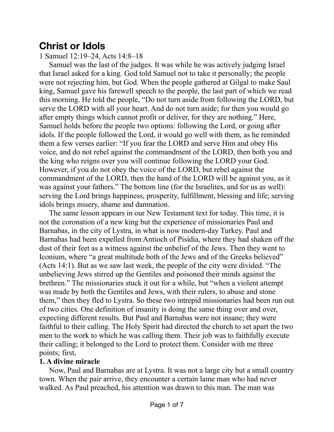## **Christ or Idols**

1 Samuel 12:19–24, Acts 14:8–18

Samuel was the last of the judges. It was while he was actively judging Israel that Israel asked for a king. God told Samuel not to take it personally; the people were not rejecting him, but God. When the people gathered at Gilgal to make Saul king, Samuel gave his farewell speech to the people, the last part of which we read this morning. He told the people, "Do not turn aside from following the LORD, but serve the LORD with all your heart. And do not turn aside; for then you would go after empty things which cannot profit or deliver, for they are nothing." Here, Samuel holds before the people two options: following the Lord, or going after idols. If the people followed the Lord, it would go well with them, as he reminded them a few verses earlier: "If you fear the LORD and serve Him and obey His voice, and do not rebel against the commandment of the LORD, then both you and the king who reigns over you will continue following the LORD your God. However, if you do not obey the voice of the LORD, but rebel against the commandment of the LORD, then the hand of the LORD will be against you, as it was against your fathers." The bottom line (for the Israelites, and for us as well): serving the Lord brings happiness, prosperity, fulfillment, blessing and life; serving idols brings misery, shame and damnation.

The same lesson appears in our New Testament text for today. This time, it is not the coronation of a new king but the experience of missionaries Paul and Barnabas, in the city of Lystra, in what is now modern-day Turkey. Paul and Barnabas had been expelled from Antioch of Pisidia, where they had shaken off the dust of their feet as a witness against the unbelief of the Jews. Then they went to Iconium, where "a great multitude both of the Jews and of the Greeks believed" (Acts 14:1). But as we saw last week, the people of the city were divided. "The unbelieving Jews stirred up the Gentiles and poisoned their minds against the brethren." The missionaries stuck it out for a while, but "when a violent attempt was made by both the Gentiles and Jews, with their rulers, to abuse and stone them," then they fled to Lystra. So these two intrepid missionaries had been run out of two cities. One definition of insanity is doing the same thing over and over, expecting different results. But Paul and Barnabas were not insane; they were faithful to their calling. The Holy Spirit had directed the church to set apart the two men to the work to which he was calling them. Their job was to faithfully execute their calling; it belonged to the Lord to protect them. Consider with me three points; first,

## **1. A divine miracle**

Now, Paul and Barnabas are at Lystra. It was not a large city but a small country town. When the pair arrive, they encounter a certain lame man who had never walked. As Paul preached, his attention was drawn to this man. The man was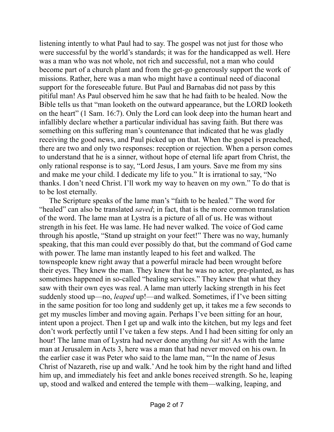listening intently to what Paul had to say. The gospel was not just for those who were successful by the world's standards; it was for the handicapped as well. Here was a man who was not whole, not rich and successful, not a man who could become part of a church plant and from the get-go generously support the work of missions. Rather, here was a man who might have a continual need of diaconal support for the foreseeable future. But Paul and Barnabas did not pass by this pitiful man! As Paul observed him he saw that he had faith to be healed. Now the Bible tells us that "man looketh on the outward appearance, but the LORD looketh on the heart" (1 Sam. 16:7). Only the Lord can look deep into the human heart and infallibly declare whether a particular individual has saving faith. But there was something on this suffering man's countenance that indicated that he was gladly receiving the good news, and Paul picked up on that. When the gospel is preached, there are two and only two responses: reception or rejection. When a person comes to understand that he is a sinner, without hope of eternal life apart from Christ, the only rational response is to say, "Lord Jesus, I am yours. Save me from my sins and make me your child. I dedicate my life to you." It is irrational to say, "No thanks. I don't need Christ. I'll work my way to heaven on my own." To do that is to be lost eternally.

The Scripture speaks of the lame man's "faith to be healed." The word for "healed" can also be translated *saved*; in fact, that is the more common translation of the word. The lame man at Lystra is a picture of all of us. He was without strength in his feet. He was lame. He had never walked. The voice of God came through his apostle, "Stand up straight on your feet!" There was no way, humanly speaking, that this man could ever possibly do that, but the command of God came with power. The lame man instantly leaped to his feet and walked. The townspeople knew right away that a powerful miracle had been wrought before their eyes. They knew the man. They knew that he was no actor, pre-planted, as has sometimes happened in so-called "healing services." They knew that what they saw with their own eyes was real. A lame man utterly lacking strength in his feet suddenly stood up—no, *leaped* up!—and walked. Sometimes, if I've been sitting in the same position for too long and suddenly get up, it takes me a few seconds to get my muscles limber and moving again. Perhaps I've been sitting for an hour, intent upon a project. Then I get up and walk into the kitchen, but my legs and feet don't work perfectly until I've taken a few steps. And I had been sitting for only an hour! The lame man of Lystra had never done anything *but* sit! As with the lame man at Jerusalem in Acts 3, here was a man that had never moved on his own. In the earlier case it was Peter who said to the lame man, "'In the name of Jesus Christ of Nazareth, rise up and walk.' And he took him by the right hand and lifted him up, and immediately his feet and ankle bones received strength. So he, leaping up, stood and walked and entered the temple with them—walking, leaping, and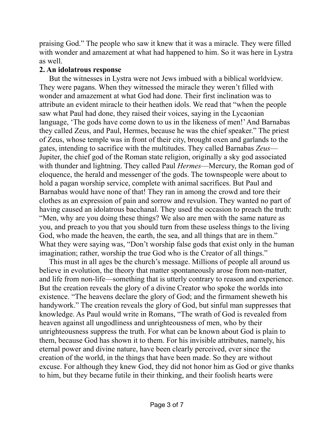praising God." The people who saw it knew that it was a miracle. They were filled with wonder and amazement at what had happened to him. So it was here in Lystra as well.

## **2. An idolatrous response**

But the witnesses in Lystra were not Jews imbued with a biblical worldview. They were pagans. When they witnessed the miracle they weren't filled with wonder and amazement at what God had done. Their first inclination was to attribute an evident miracle to their heathen idols. We read that "when the people saw what Paul had done, they raised their voices, saying in the Lycaonian language, 'The gods have come down to us in the likeness of men!' And Barnabas they called Zeus, and Paul, Hermes, because he was the chief speaker." The priest of Zeus, whose temple was in front of their city, brought oxen and garlands to the gates, intending to sacrifice with the multitudes. They called Barnabas *Zeus*— Jupiter, the chief god of the Roman state religion, originally a sky god associated with thunder and lightning. They called Paul *Hermes*—Mercury, the Roman god of eloquence, the herald and messenger of the gods. The townspeople were about to hold a pagan worship service, complete with animal sacrifices. But Paul and Barnabas would have none of that! They ran in among the crowd and tore their clothes as an expression of pain and sorrow and revulsion. They wanted no part of having caused an idolatrous bacchanal. They used the occasion to preach the truth: "Men, why are you doing these things? We also are men with the same nature as you, and preach to you that you should turn from these useless things to the living God, who made the heaven, the earth, the sea, and all things that are in them." What they were saying was, "Don't worship false gods that exist only in the human imagination; rather, worship the true God who is the Creator of all things."

This must in all ages be the church's message. Millions of people all around us believe in evolution, the theory that matter spontaneously arose from non-matter, and life from non-life—something that is utterly contrary to reason and experience. But the creation reveals the glory of a divine Creator who spoke the worlds into existence. "The heavens declare the glory of God; and the firmament sheweth his handywork." The creation reveals the glory of God, but sinful man suppresses that knowledge. As Paul would write in Romans, "The wrath of God is revealed from heaven against all ungodliness and unrighteousness of men, who by their unrighteousness suppress the truth. For what can be known about God is plain to them, because God has shown it to them. For his invisible attributes, namely, his eternal power and divine nature, have been clearly perceived, ever since the creation of the world, in the things that have been made. So they are without excuse. For although they knew God, they did not honor him as God or give thanks to him, but they became futile in their thinking, and their foolish hearts were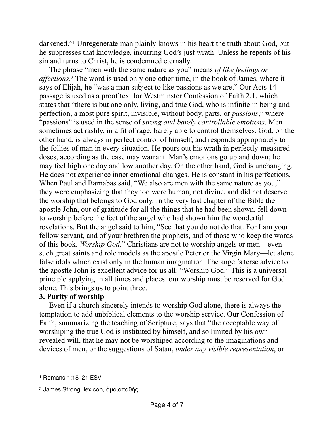<span id="page-3-2"></span>darkened.["](#page-3-0) Unregenerate man plainly knows in his heart the truth about God, but he suppresses that knowledge, incurring God's just wrath. Unless he repents of his sin and turns to Christ, he is condemned eternally.

<span id="page-3-3"></span>The phrase "men with the same nature as you" means *of like feelings or affections*<sup>2</sup>.The word is used only one other time, in the book of James, where it says of Elijah, he "was a man subject to like passions as we are." Our Acts 14 passage is used as a proof text for Westminster Confession of Faith 2.1, which states that "there is but one only, living, and true God, who is infinite in being and perfection, a most pure spirit, invisible, without body, parts, or *passions*," where "passions" is used in the sense of *strong and barely controllable emotions*. Men sometimes act rashly, in a fit of rage, barely able to control themselves. God, on the other hand, is always in perfect control of himself, and responds appropriately to the follies of man in every situation. He pours out his wrath in perfectly-measured doses, according as the case may warrant. Man's emotions go up and down; he may feel high one day and low another day. On the other hand, God is unchanging. He does not experience inner emotional changes. He is constant in his perfections. When Paul and Barnabas said, "We also are men with the same nature as you," they were emphasizing that they too were human, not divine, and did not deserve the worship that belongs to God only. In the very last chapter of the Bible the apostle John, out of gratitude for all the things that he had been shown, fell down to worship before the feet of the angel who had shown him the wonderful revelations. But the angel said to him, "See that you do not do that. For I am your fellow servant, and of your brethren the prophets, and of those who keep the words of this book. *Worship God*." Christians are not to worship angels or men—even such great saints and role models as the apostle Peter or the Virgin Mary—let alone false idols which exist only in the human imagination. The angel's terse advice to the apostle John is excellent advice for us all: "Worship God." This is a universal principle applying in all times and places: our worship must be reserved for God alone. This brings us to point three,

## **3. Purity of worship**

Even if a church sincerely intends to worship God alone, there is always the temptation to add unbiblical elements to the worship service. Our Confession of Faith, summarizing the teaching of Scripture, says that "the acceptable way of worshiping the true God is instituted by himself, and so limited by his own revealed will, that he may not be worshiped according to the imaginations and devices of men, or the suggestions of Satan, *under any visible representation*, or

<span id="page-3-0"></span>[<sup>1</sup>](#page-3-2) Romans 1:18–21 ESV

<span id="page-3-1"></span>[<sup>2</sup>](#page-3-3) James Strong, lexicon, ὁμοιοπαθής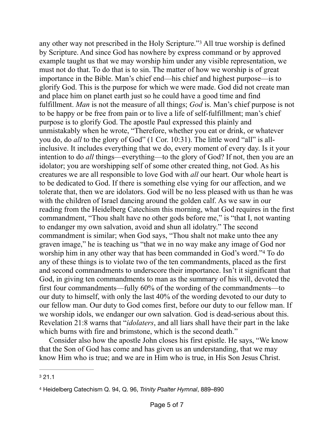<span id="page-4-2"></span>any other way not prescribed in the Holy Scripture."<sup>[3](#page-4-0)</sup> All true worship is defined by Scripture. And since God has nowhere by express command or by approved example taught us that we may worship him under any visible representation, we must not do that. To do that is to sin. The matter of how we worship is of great importance in the Bible. Man's chief end—his chief and highest purpose—is to glorify God. This is the purpose for which we were made. God did not create man and place him on planet earth just so he could have a good time and find fulfillment. *Man* is not the measure of all things; *God* is. Man's chief purpose is not to be happy or be free from pain or to live a life of self-fulfillment; man's chief purpose is to glorify God. The apostle Paul expressed this plainly and unmistakably when he wrote, "Therefore, whether you eat or drink, or whatever you do, do *all* to the glory of God" (1 Cor. 10:31). The little word "all" is allinclusive. It includes everything that we do, every moment of every day. Is it your intention to do *all* things—everything—to the glory of God? If not, then you are an idolator; you are worshipping self of some other created thing, not God. As his creatures we are all responsible to love God with *all* our heart. Our whole heart is to be dedicated to God. If there is something else vying for our affection, and we tolerate that, then we are idolators. God will be no less pleased with us than he was with the children of Israel dancing around the golden calf. As we saw in our reading from the Heidelberg Catechism this morning, what God requires in the first commandment, "Thou shalt have no other gods before me," is "that I, not wanting to endanger my own salvation, avoid and shun all idolatry." The second commandment is similar; when God says, "Thou shalt not make unto thee any graven image," he is teaching us "that we in no way make any image of God nor worship him in any other way that has been commanded in God's word.["](#page-4-1)<sup>[4](#page-4-1)</sup> To do any of these things is to violate two of the ten commandments, placed as the first and second commandments to underscore their importance. Isn't it significant that God, in giving ten commandments to man as the summary of his will, devoted the first four commandments—fully 60% of the wording of the commandments—to our duty to himself, with only the last 40% of the wording devoted to our duty to our fellow man. Our duty to God comes first, before our duty to our fellow man. If we worship idols, we endanger our own salvation. God is dead-serious about this. Revelation 21:8 warns that "*idolaters*, and all liars shall have their part in the lake which burns with fire and brimstone, which is the second death."

<span id="page-4-3"></span>Consider also how the apostle John closes his first epistle. He says, "We know that the Son of God has come and has given us an understanding, that we may know Him who is true; and we are in Him who is true, in His Son Jesus Christ.

<span id="page-4-0"></span>[<sup>3</sup>](#page-4-2) 21.1

<span id="page-4-1"></span>[<sup>4</sup>](#page-4-3) Heidelberg Catechism Q. 94, Q. 96, *Trinity Psalter Hymnal*, 889–890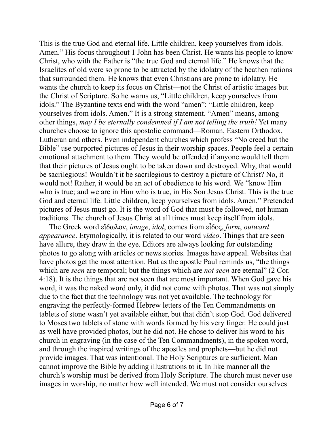This is the true God and eternal life. Little children, keep yourselves from idols. Amen." His focus throughout 1 John has been Christ. He wants his people to know Christ, who with the Father is "the true God and eternal life." He knows that the Israelites of old were so prone to be attracted by the idolatry of the heathen nations that surrounded them. He knows that even Christians are prone to idolatry. He wants the church to keep its focus on Christ—not the Christ of artistic images but the Christ of Scripture. So he warns us, "Little children, keep yourselves from idols." The Byzantine texts end with the word "amen": "Little children, keep yourselves from idols. Amen." It is a strong statement. "Amen" means, among other things, *may I be eternally condemned if I am not telling the truth!* Yet many churches choose to ignore this apostolic command—Roman, Eastern Orthodox, Lutheran and others. Even independent churches which profess "No creed but the Bible" use purported pictures of Jesus in their worship spaces. People feel a certain emotional attachment to them. They would be offended if anyone would tell them that their pictures of Jesus ought to be taken down and destroyed. Why, that would be sacrilegious! Wouldn't it be sacrilegious to destroy a picture of Christ? No, it would not! Rather, it would be an act of obedience to his word. We "know Him who is true; and we are in Him who is true, in His Son Jesus Christ. This is the true God and eternal life. Little children, keep yourselves from idols. Amen." Pretended pictures of Jesus must go. It is the word of God that must be followed, not human traditions. The church of Jesus Christ at all times must keep itself from idols.

The Greek word εἴδωλον, *image*, *idol*, comes from εἶδος, *form*, *outward appearance*. Etymologically, it is related to our word *video*. Things that are seen have allure, they draw in the eye. Editors are always looking for outstanding photos to go along with articles or news stories. Images have appeal. Websites that have photos get the most attention. But as the apostle Paul reminds us, "the things which are *seen* are temporal; but the things which are *not seen* are eternal" (2 Cor. 4:18). It is the things that are not seen that are most important. When God gave his word, it was the naked word only, it did not come with photos. That was not simply due to the fact that the technology was not yet available. The technology for engraving the perfectly-formed Hebrew letters of the Ten Commandments on tablets of stone wasn't yet available either, but that didn't stop God. God delivered to Moses two tablets of stone with words formed by his very finger. He could just as well have provided photos, but he did not. He chose to deliver his word to his church in engraving (in the case of the Ten Commandments), in the spoken word, and through the inspired writings of the apostles and prophets—but he did not provide images. That was intentional. The Holy Scriptures are sufficient. Man cannot improve the Bible by adding illustrations to it. In like manner all the church's worship must be derived from Holy Scripture. The church must never use images in worship, no matter how well intended. We must not consider ourselves